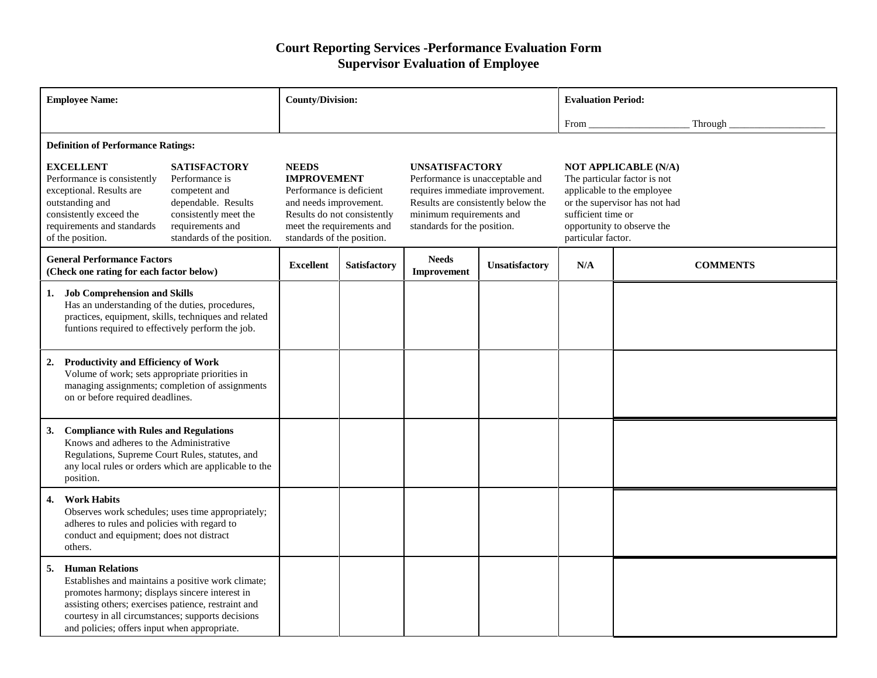## **Court Reporting Services -Performance Evaluation Form Supervisor Evaluation of Employee**

| <b>Employee Name:</b>                                                                                                                                                                                                                                                                                                                   |                                                   | <b>County/Division:</b>                                                                                                                                                            |              |                                                                                                                                                                                              |                | <b>Evaluation Period:</b>                |                                                                                                                                                          |  |
|-----------------------------------------------------------------------------------------------------------------------------------------------------------------------------------------------------------------------------------------------------------------------------------------------------------------------------------------|---------------------------------------------------|------------------------------------------------------------------------------------------------------------------------------------------------------------------------------------|--------------|----------------------------------------------------------------------------------------------------------------------------------------------------------------------------------------------|----------------|------------------------------------------|----------------------------------------------------------------------------------------------------------------------------------------------------------|--|
|                                                                                                                                                                                                                                                                                                                                         |                                                   |                                                                                                                                                                                    |              |                                                                                                                                                                                              |                | From                                     | Through                                                                                                                                                  |  |
| <b>Definition of Performance Ratings:</b>                                                                                                                                                                                                                                                                                               |                                                   |                                                                                                                                                                                    |              |                                                                                                                                                                                              |                |                                          |                                                                                                                                                          |  |
| <b>EXCELLENT</b><br><b>SATISFACTORY</b><br>Performance is consistently<br>Performance is<br>exceptional. Results are<br>competent and<br>outstanding and<br>dependable. Results<br>consistently meet the<br>consistently exceed the<br>requirements and standards<br>requirements and<br>of the position.<br>standards of the position. |                                                   | <b>NEEDS</b><br><b>IMPROVEMENT</b><br>Performance is deficient<br>and needs improvement.<br>Results do not consistently<br>meet the requirements and<br>standards of the position. |              | <b>UNSATISFACTORY</b><br>Performance is unacceptable and<br>requires immediate improvement.<br>Results are consistently below the<br>minimum requirements and<br>standards for the position. |                | sufficient time or<br>particular factor. | <b>NOT APPLICABLE (N/A)</b><br>The particular factor is not<br>applicable to the employee<br>or the supervisor has not had<br>opportunity to observe the |  |
| <b>General Performance Factors</b><br>(Check one rating for each factor below)                                                                                                                                                                                                                                                          |                                                   | <b>Excellent</b>                                                                                                                                                                   | Satisfactory | <b>Needs</b><br><b>Improvement</b>                                                                                                                                                           | Unsatisfactory | N/A                                      | <b>COMMENTS</b>                                                                                                                                          |  |
| <b>Job Comprehension and Skills</b><br>1.<br>Has an understanding of the duties, procedures,<br>practices, equipment, skills, techniques and related<br>funtions required to effectively perform the job.                                                                                                                               |                                                   |                                                                                                                                                                                    |              |                                                                                                                                                                                              |                |                                          |                                                                                                                                                          |  |
| <b>Productivity and Efficiency of Work</b><br>2.<br>Volume of work; sets appropriate priorities in<br>managing assignments; completion of assignments<br>on or before required deadlines.                                                                                                                                               |                                                   |                                                                                                                                                                                    |              |                                                                                                                                                                                              |                |                                          |                                                                                                                                                          |  |
| <b>Compliance with Rules and Regulations</b><br>3.<br>Knows and adheres to the Administrative<br>Regulations, Supreme Court Rules, statutes, and<br>any local rules or orders which are applicable to the<br>position.                                                                                                                  |                                                   |                                                                                                                                                                                    |              |                                                                                                                                                                                              |                |                                          |                                                                                                                                                          |  |
| <b>Work Habits</b><br>4.<br>adheres to rules and policies with regard to<br>conduct and equipment; does not distract<br>others.                                                                                                                                                                                                         | Observes work schedules; uses time appropriately; |                                                                                                                                                                                    |              |                                                                                                                                                                                              |                |                                          |                                                                                                                                                          |  |
| <b>Human Relations</b><br>5.<br>Establishes and maintains a positive work climate;<br>promotes harmony; displays sincere interest in<br>assisting others; exercises patience, restraint and<br>courtesy in all circumstances; supports decisions<br>and policies; offers input when appropriate.                                        |                                                   |                                                                                                                                                                                    |              |                                                                                                                                                                                              |                |                                          |                                                                                                                                                          |  |